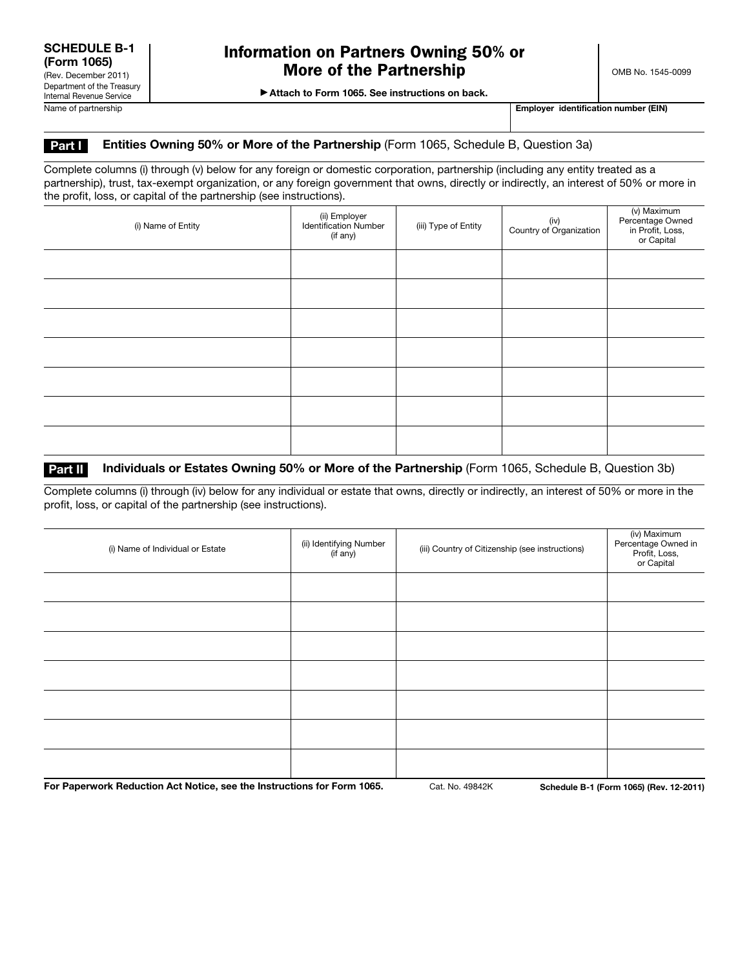▶ Attach to Form 1065. See instructions on back.

Name of partnership **Employer identification number (EIN)** Name of partnership **Employer identification number (EIN)** 

### Part I Entities Owning 50% or More of the Partnership (Form 1065, Schedule B, Question 3a)

Complete columns (i) through (v) below for any foreign or domestic corporation, partnership (including any entity treated as a partnership), trust, tax-exempt organization, or any foreign government that owns, directly or indirectly, an interest of 50% or more in the profit, loss, or capital of the partnership (see instructions).

| (i) Name of Entity | (ii) Employer<br><b>Identification Number</b><br>(if any) | (iii) Type of Entity | (iv)<br>Country of Organization | (v) Maximum<br>Percentage Owned<br>in Profit, Loss,<br>or Capital |
|--------------------|-----------------------------------------------------------|----------------------|---------------------------------|-------------------------------------------------------------------|
|                    |                                                           |                      |                                 |                                                                   |
|                    |                                                           |                      |                                 |                                                                   |
|                    |                                                           |                      |                                 |                                                                   |
|                    |                                                           |                      |                                 |                                                                   |
|                    |                                                           |                      |                                 |                                                                   |
|                    |                                                           |                      |                                 |                                                                   |
|                    |                                                           |                      |                                 |                                                                   |

#### **Part II** Individuals or Estates Owning 50% or More of the Partnership (Form 1065, Schedule B, Question 3b)

Complete columns (i) through (iv) below for any individual or estate that owns, directly or indirectly, an interest of 50% or more in the profit, loss, or capital of the partnership (see instructions).

| (i) Name of Individual or Estate | (ii) Identifying Number<br>(if any) | (iii) Country of Citizenship (see instructions) | (iv) Maximum<br>Percentage Owned in<br>Profit, Loss,<br>or Capital |
|----------------------------------|-------------------------------------|-------------------------------------------------|--------------------------------------------------------------------|
|                                  |                                     |                                                 |                                                                    |
|                                  |                                     |                                                 |                                                                    |
|                                  |                                     |                                                 |                                                                    |
|                                  |                                     |                                                 |                                                                    |
|                                  |                                     |                                                 |                                                                    |
|                                  |                                     |                                                 |                                                                    |
|                                  |                                     |                                                 |                                                                    |

For Paperwork Reduction Act Notice, see the Instructions for Form 1065. Cat. No. 49842K Schedule B-1 (Form 1065) (Rev. 12-2011)